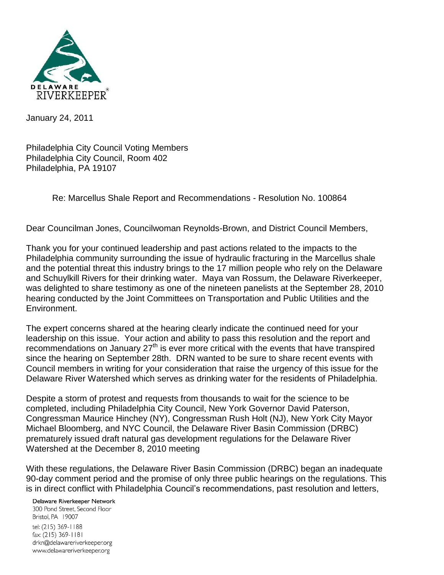

January 24, 2011

Philadelphia City Council Voting Members Philadelphia City Council, Room 402 Philadelphia, PA 19107

Re: Marcellus Shale Report and Recommendations - Resolution No. 100864

Dear Councilman Jones, Councilwoman Reynolds-Brown, and District Council Members,

Thank you for your continued leadership and past actions related to the impacts to the Philadelphia community surrounding the issue of hydraulic fracturing in the Marcellus shale and the potential threat this industry brings to the 17 million people who rely on the Delaware and Schuylkill Rivers for their drinking water. Maya van Rossum, the Delaware Riverkeeper, was delighted to share testimony as one of the nineteen panelists at the September 28, 2010 hearing conducted by the Joint Committees on Transportation and Public Utilities and the Environment.

The expert concerns shared at the hearing clearly indicate the continued need for your leadership on this issue. Your action and ability to pass this resolution and the report and recommendations on January 27<sup>th</sup> is ever more critical with the events that have transpired since the hearing on September 28th. DRN wanted to be sure to share recent events with Council members in writing for your consideration that raise the urgency of this issue for the Delaware River Watershed which serves as drinking water for the residents of Philadelphia.

Despite a storm of protest and requests from thousands to wait for the science to be completed, including Philadelphia City Council, New York Governor David Paterson, Congressman Maurice Hinchey (NY), Congressman Rush Holt (NJ), New York City Mayor Michael Bloomberg, and NYC Council, the Delaware River Basin Commission (DRBC) prematurely issued draft natural gas development regulations for the Delaware River Watershed at the December 8, 2010 meeting

With these regulations, the Delaware River Basin Commission (DRBC) began an inadequate 90-day comment period and the promise of only three public hearings on the regulations. This is in direct conflict with Philadelphia Council's recommendations, past resolution and letters,

Delaware Riverkeeper Network

300 Pond Street. Second Floor Bristol, PA 19007 tel: (215) 369-1188 fax: (215) 369-1181 drkn@delawareriverkeeper.org www.delawareriverkeeper.org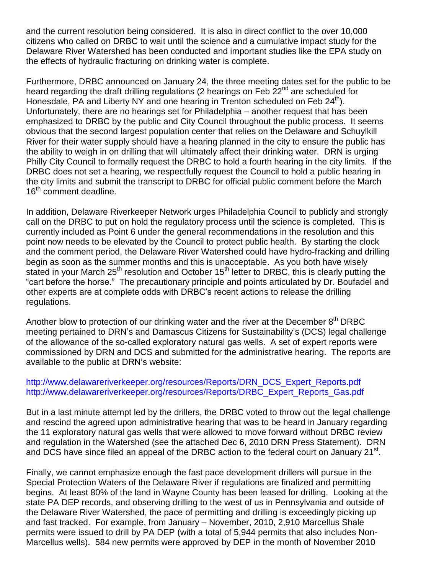and the current resolution being considered. It is also in direct conflict to the over 10,000 citizens who called on DRBC to wait until the science and a cumulative impact study for the Delaware River Watershed has been conducted and important studies like the EPA study on the effects of hydraulic fracturing on drinking water is complete.

Furthermore, DRBC announced on January 24, the three meeting dates set for the public to be heard regarding the draft drilling regulations (2 hearings on Feb  $22<sup>nd</sup>$  are scheduled for Honesdale, PA and Liberty NY and one hearing in Trenton scheduled on Feb  $24<sup>th</sup>$ ). Unfortunately, there are no hearings set for Philadelphia – another request that has been emphasized to DRBC by the public and City Council throughout the public process. It seems obvious that the second largest population center that relies on the Delaware and Schuylkill River for their water supply should have a hearing planned in the city to ensure the public has the ability to weigh in on drilling that will ultimately affect their drinking water. DRN is urging Philly City Council to formally request the DRBC to hold a fourth hearing in the city limits. If the DRBC does not set a hearing, we respectfully request the Council to hold a public hearing in the city limits and submit the transcript to DRBC for official public comment before the March 16<sup>th</sup> comment deadline.

In addition, Delaware Riverkeeper Network urges Philadelphia Council to publicly and strongly call on the DRBC to put on hold the regulatory process until the science is completed. This is currently included as Point 6 under the general recommendations in the resolution and this point now needs to be elevated by the Council to protect public health. By starting the clock and the comment period, the Delaware River Watershed could have hydro-fracking and drilling begin as soon as the summer months and this is unacceptable. As you both have wisely stated in your March 25<sup>th</sup> resolution and October 15<sup>th</sup> letter to DRBC, this is clearly putting the "cart before the horse." The precautionary principle and points articulated by Dr. Boufadel and other experts are at complete odds with DRBC's recent actions to release the drilling regulations.

Another blow to protection of our drinking water and the river at the December  $8<sup>th</sup> DRBC$ meeting pertained to DRN's and Damascus Citizens for Sustainability's (DCS) legal challenge of the allowance of the so-called exploratory natural gas wells. A set of expert reports were commissioned by DRN and DCS and submitted for the administrative hearing. The reports are available to the public at DRN's website:

## http://www.delawareriverkeeper.org/resources/Reports/DRN\_DCS\_Expert\_Reports.pdf http://www.delawareriverkeeper.org/resources/Reports/DRBC\_Expert\_Reports\_Gas.pdf

But in a last minute attempt led by the drillers, the DRBC voted to throw out the legal challenge and rescind the agreed upon administrative hearing that was to be heard in January regarding the 11 exploratory natural gas wells that were allowed to move forward without DRBC review and regulation in the Watershed (see the attached Dec 6, 2010 DRN Press Statement). DRN and DCS have since filed an appeal of the DRBC action to the federal court on January 21<sup>st</sup>.

Finally, we cannot emphasize enough the fast pace development drillers will pursue in the Special Protection Waters of the Delaware River if regulations are finalized and permitting begins. At least 80% of the land in Wayne County has been leased for drilling. Looking at the state PA DEP records, and observing drilling to the west of us in Pennsylvania and outside of the Delaware River Watershed, the pace of permitting and drilling is exceedingly picking up and fast tracked. For example, from January – November, 2010, 2,910 Marcellus Shale permits were issued to drill by PA DEP (with a total of 5,944 permits that also includes Non-Marcellus wells). 584 new permits were approved by DEP in the month of November 2010